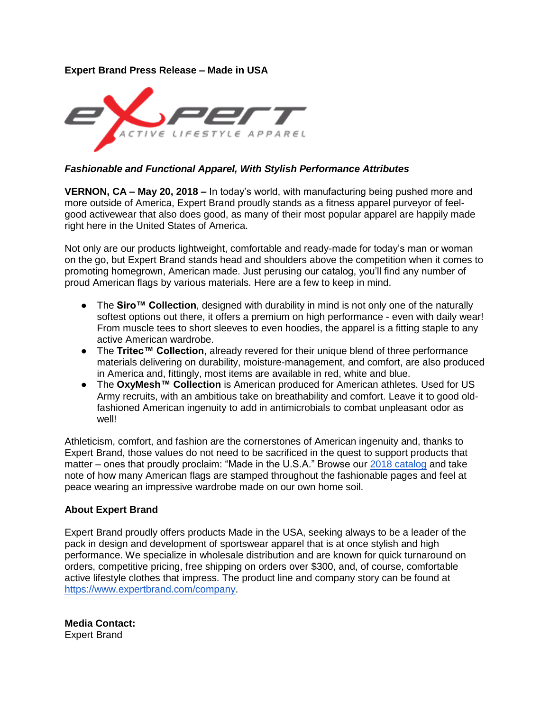## **Expert Brand Press Release – Made in USA**



## *Fashionable and Functional Apparel, With Stylish Performance Attributes*

**VERNON, CA – May 20, 2018 –** In today's world, with manufacturing being pushed more and more outside of America, Expert Brand proudly stands as a fitness apparel purveyor of feelgood activewear that also does good, as many of their most popular apparel are happily made right here in the United States of America.

Not only are our products lightweight, comfortable and ready-made for today's man or woman on the go, but Expert Brand stands head and shoulders above the competition when it comes to promoting homegrown, American made. Just perusing our catalog, you'll find any number of proud American flags by various materials. Here are a few to keep in mind.

- The **Siro™ Collection**, designed with durability in mind is not only one of the naturally softest options out there, it offers a premium on high performance - even with daily wear! From muscle tees to short sleeves to even hoodies, the apparel is a fitting staple to any active American wardrobe.
- The **Tritec™ Collection**, already revered for their unique blend of three performance materials delivering on durability, moisture-management, and comfort, are also produced in America and, fittingly, most items are available in red, white and blue.
- The **OxyMesh™ Collection** is American produced for American athletes. Used for US Army recruits, with an ambitious take on breathability and comfort. Leave it to good oldfashioned American ingenuity to add in antimicrobials to combat unpleasant odor as well!

Athleticism, comfort, and fashion are the cornerstones of American ingenuity and, thanks to Expert Brand, those values do not need to be sacrificed in the quest to support products that matter – ones that proudly proclaim: "Made in the U.S.A." Browse our [2018 catalog](https://www.promocorner.com/pageflip/Expert-Brand/2018-Catalog-Mens-and-Womens?i=4700&p=1) and take note of how many American flags are stamped throughout the fashionable pages and feel at peace wearing an impressive wardrobe made on our own home soil.

## **About Expert Brand**

Expert Brand proudly offers products Made in the USA, seeking always to be a leader of the pack in design and development of sportswear apparel that is at once stylish and high performance. We specialize in wholesale distribution and are known for quick turnaround on orders, competitive pricing, free shipping on orders over \$300, and, of course, comfortable active lifestyle clothes that impress. The product line and company story can be found at [https://www.expertbrand.com/company.](https://www.expertbrand.com/company)

**Media Contact:**  Expert Brand